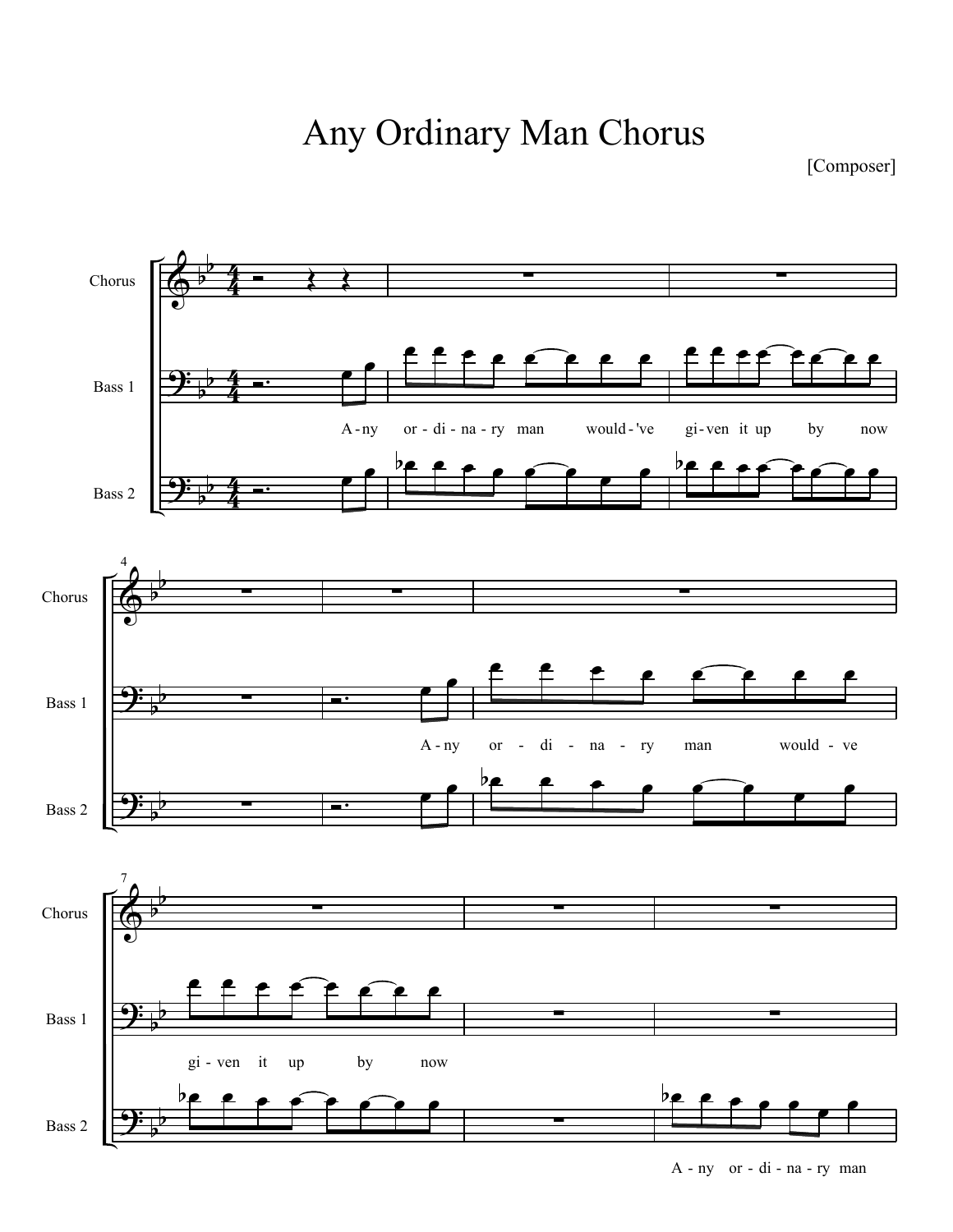Any Ordinary Man Chorus

[Composer]

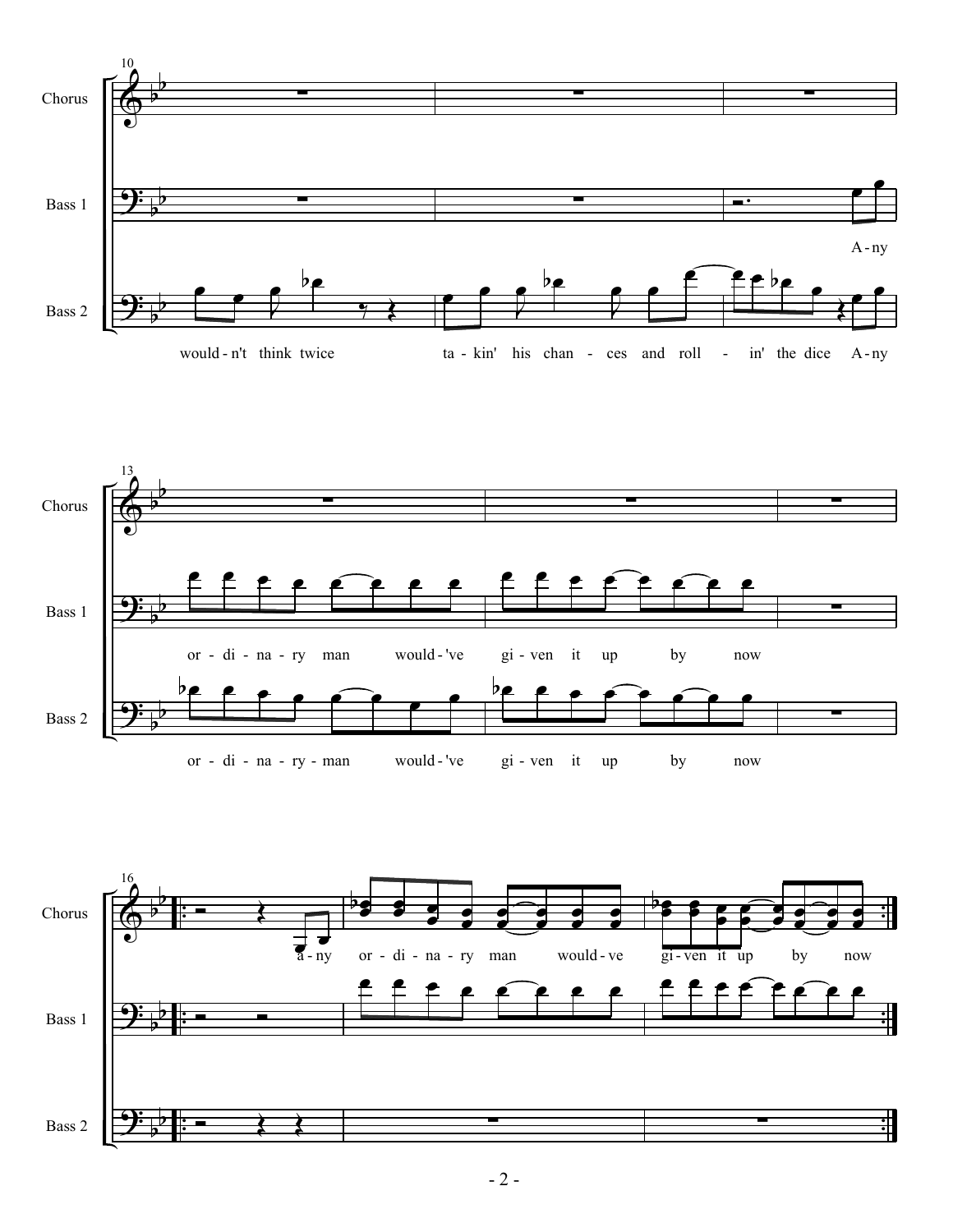